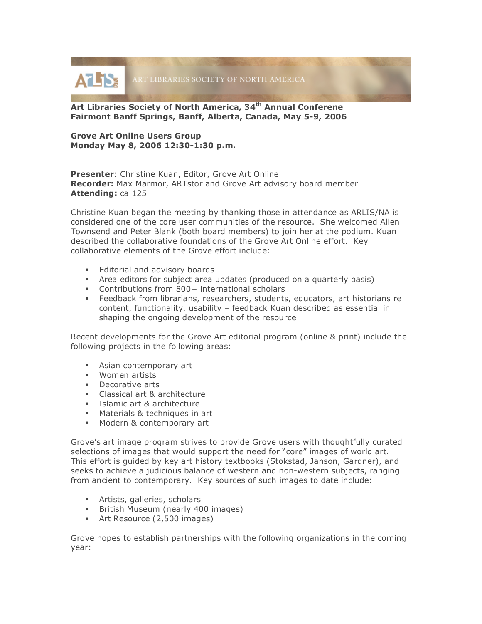

**Art Libraries Society of North America, 34th Annual Conferene Fairmont Banff Springs, Banff, Alberta, Canada, May 5-9, 2006**

## **Grove Art Online Users Group Monday May 8, 2006 12:30-1:30 p.m.**

**Presenter**: Christine Kuan, Editor, Grove Art Online **Recorder:** Max Marmor, ARTstor and Grove Art advisory board member **Attending:** ca 125

Christine Kuan began the meeting by thanking those in attendance as ARLIS/NA is considered one of the core user communities of the resource. She welcomed Allen Townsend and Peter Blank (both board members) to join her at the podium. Kuan described the collaborative foundations of the Grove Art Online effort. Key collaborative elements of the Grove effort include:

- **Editorial and advisory boards**
- Area editors for subject area updates (produced on a quarterly basis)
- Contributions from 800+ international scholars
- Feedback from librarians, researchers, students, educators, art historians re content, functionality, usability – feedback Kuan described as essential in shaping the ongoing development of the resource

Recent developments for the Grove Art editorial program (online & print) include the following projects in the following areas:

- Asian contemporary art
- **Women artists**
- **Decorative arts**
- **Classical art & architecture**
- **Islamic art & architecture**
- **Materials & techniques in art**
- **Modern & contemporary art**

Grove's art image program strives to provide Grove users with thoughtfully curated selections of images that would support the need for "core" images of world art. This effort is guided by key art history textbooks (Stokstad, Janson, Gardner), and seeks to achieve a judicious balance of western and non-western subjects, ranging from ancient to contemporary. Key sources of such images to date include:

- **Artists, galleries, scholars**
- **British Museum (nearly 400 images)**
- Art Resource (2,500 images)

Grove hopes to establish partnerships with the following organizations in the coming year: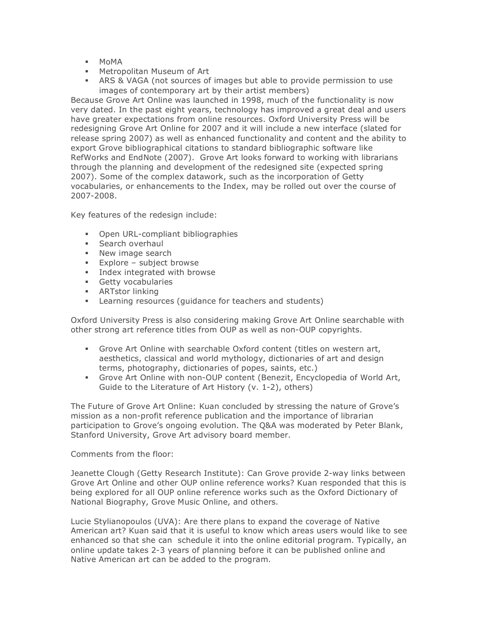- MoMA
- Metropolitan Museum of Art
- ARS & VAGA (not sources of images but able to provide permission to use images of contemporary art by their artist members)

Because Grove Art Online was launched in 1998, much of the functionality is now very dated. In the past eight years, technology has improved a great deal and users have greater expectations from online resources. Oxford University Press will be redesigning Grove Art Online for 2007 and it will include a new interface (slated for release spring 2007) as well as enhanced functionality and content and the ability to export Grove bibliographical citations to standard bibliographic software like RefWorks and EndNote (2007). Grove Art looks forward to working with librarians through the planning and development of the redesigned site (expected spring 2007). Some of the complex datawork, such as the incorporation of Getty vocabularies, or enhancements to the Index, may be rolled out over the course of 2007-2008.

Key features of the redesign include:

- **•** Open URL-compliant bibliographies
- **Search overhaul**
- **New image search**
- **Explore subject browse**
- **Index integrated with browse**
- **Getty vocabularies**
- $\overrightarrow{ART}$ stor linking
- Learning resources (guidance for teachers and students)

Oxford University Press is also considering making Grove Art Online searchable with other strong art reference titles from OUP as well as non-OUP copyrights.

- Grove Art Online with searchable Oxford content (titles on western art, aesthetics, classical and world mythology, dictionaries of art and design terms, photography, dictionaries of popes, saints, etc.)
- Grove Art Online with non-OUP content (Benezit, Encyclopedia of World Art, Guide to the Literature of Art History (v. 1-2), others)

The Future of Grove Art Online: Kuan concluded by stressing the nature of Grove's mission as a non-profit reference publication and the importance of librarian participation to Grove's ongoing evolution. The Q&A was moderated by Peter Blank, Stanford University, Grove Art advisory board member.

Comments from the floor:

Jeanette Clough (Getty Research Institute): Can Grove provide 2-way links between Grove Art Online and other OUP online reference works? Kuan responded that this is being explored for all OUP online reference works such as the Oxford Dictionary of National Biography, Grove Music Online, and others.

Lucie Stylianopoulos (UVA): Are there plans to expand the coverage of Native American art? Kuan said that it is useful to know which areas users would like to see enhanced so that she can schedule it into the online editorial program. Typically, an online update takes 2-3 years of planning before it can be published online and Native American art can be added to the program.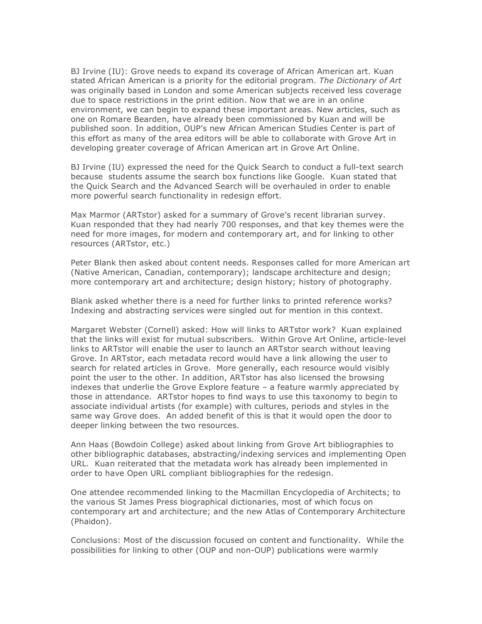BJ Irvine (IU): Grove needs to expand its coverage of African American art. Kuan stated African American is a priority for the editorial program. *The Dictionary of Art* was originally based in London and some American subjects received less coverage due to space restrictions in the print edition. Now that we are in an online environment, we can begin to expand these important areas. New articles, such as one on Romare Bearden, have already been commissioned by Kuan and will be published soon. In addition, OUP's new African American Studies Center is part of this effort as many of the area editors will be able to collaborate with Grove Art in developing greater coverage of African American art in Grove Art Online.

BJ Irvine (IU) expressed the need for the Quick Search to conduct a full-text search because students assume the search box functions like Google. Kuan stated that the Quick Search and the Advanced Search will be overhauled in order to enable more powerful search functionality in redesign effort.

Max Marmor (ARTstor) asked for a summary of Grove's recent librarian survey. Kuan responded that they had nearly 700 responses, and that key themes were the need for more images, for modern and contemporary art, and for linking to other resources (ARTstor, etc.)

Peter Blank then asked about content needs. Responses called for more American art (Native American, Canadian, contemporary); landscape architecture and design; more contemporary art and architecture; design history; history of photography.

Blank asked whether there is a need for further links to printed reference works? Indexing and abstracting services were singled out for mention in this context.

Margaret Webster (Cornell) asked: How will links to ARTstor work? Kuan explained that the links will exist for mutual subscribers. Within Grove Art Online, article-level links to ARTstor will enable the user to launch an ARTstor search without leaving Grove. In ARTstor, each metadata record would have a link allowing the user to search for related articles in Grove. More generally, each resource would visibly point the user to the other. In addition, ARTstor has also licensed the browsing indexes that underlie the Grove Explore feature – a feature warmly appreciated by those in attendance. ARTstor hopes to find ways to use this taxonomy to begin to associate individual artists (for example) with cultures, periods and styles in the same way Grove does. An added benefit of this is that it would open the door to deeper linking between the two resources.

Ann Haas (Bowdoin College) asked about linking from Grove Art bibliographies to other bibliographic databases, abstracting/indexing services and implementing Open URL. Kuan reiterated that the metadata work has already been implemented in order to have Open URL compliant bibliographies for the redesign.

One attendee recommended linking to the Macmillan Encyclopedia of Architects; to the various St James Press biographical dictionaries, most of which focus on contemporary art and architecture; and the new Atlas of Contemporary Architecture (Phaidon).

Conclusions: Most of the discussion focused on content and functionality. While the possibilities for linking to other (OUP and non-OUP) publications were warmly